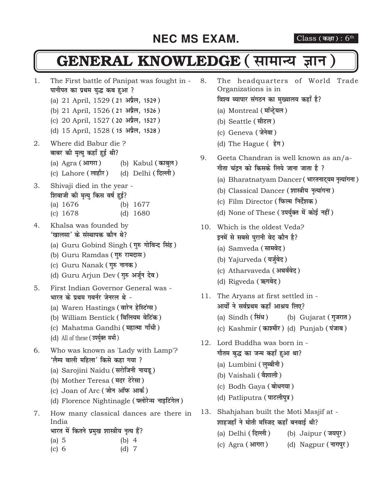#### **NEC MS EXAM.** Class (कक्षा): 6<sup>th</sup>

### **GENERAL KNOWLEDGE (सामान्य ज्ञान**

- 1. The First battle of Panipat was fought in **पानीपत का प्रथम युद्ध कब हुआ ?** 
	- (a) 21 April, 1529 (21 अप्रैल, 1529)
	- (b) 21 April, 1526 (21 अप्रैल, 1526)
	- (c) 20 April, 1527 (20 अप्रैल, 1527)
	- (d) 15 April, 1528 (15 अप्रैल, 1528)
- 2. Where did Babur die ? बाबर की मृत्यु कहाँ हुई थी?
	- (a) Agra (आगरा) (b) Kabul (काबुल)
	- (c) Lahore (लाहौर) (d) Delhi (*दिल्ली*)
- 3. Shivaji died in the year **शिवाजी की मृत्यु किस वर्ष हुई?** 
	- (a) 1676 (b) 1677
	- (c) 1678 (d) 1680
- 4. Khalsa was founded by <sup>'</sup>खालसा' के संस्थापक कौन थे?
	- (a) Guru Gobind Singh (गुरु गोविन्द सिंह)
	- (b) Guru Ramdas (गुरु रामदास)
	- (c) Guru Nanak (गुरु नानक)
	- (d) Guru Arjun Dev (गुरु अर्जुन देव)
- 5. First Indian Governor General was भारत के प्रथम गवर्नर जेनरल थे **-**
	- (a) Waren Hastings (वारेन हेस्टिंग्स)
	- (b) William Bentick **(fofy;e osfVad)**
	- (c) Mahatma Gandhi (महात्मा गाँधी)
	- (d) All of these (उपर्युक्त सभी)
- 6. Who was known as 'Lady with Lamp'? *'*लैम्प वाली महिला' किसे कहा गया ?
	- (a) Sarojini Naidu (सरोजिनी नायडू)
	- (b) Mother Teresa (मदर टेरेसा)
	- (c) Joan of Arc (जोन ऑफ आर्क)
	- (d) Florence Nightinagle (फ्लोरेन्स नाइटिंगेल)
- 7. How many classical dances are there in India

#### भारत में कितने प्रमुख शास्त्रीय नृत्य हैं?

| (a) 5      | $(b)$ 4                       |  |
|------------|-------------------------------|--|
| $\sqrt{2}$ | $\left(1\right)$ $\leftarrow$ |  |

(c) 6 (d) 7

- 8. The headquarters of World Trade Organizations is in
	- <u>विश्व व्यापार संगठन का मुख्यालय कहाँ है</u>?
	- (a) Montreal (मॉन्ट्रेयल)
	- (b) Seattle (सीटल)
	- (c) Geneva (जेने**वा**)
	- (d) The Hague (हेग)
- 9. Geeta Chandran is well known as an/a-**गीता चंद्रन को किसके लिये जाना जाता है** ?
	- (a) Bharatnatyam Dancer (भारतनाट्यम नृत्यांगना)
	- (b) Classical Dancer (शास्त्रीय नृत्यांगना)
	- (c) Film Director (फिल्म निर्देशक)
	- (d) None of These ( उपर्यक्त में कोई नहीं)
- 10. Which is the oldest Veda? **इनमें से सबसे प्**रानी वेद कौन है?
	- (a) Samveda (सामवेद)
	- (b) Yajurveda (यर्जुवेद)
	- (c) Atharvaveda (अथर्ववेद)
	- (d) Rigveda (ऋगवेद)
- 11. The Aryans at first settled in आर्यों ने सर्वप्रथम कहाँ आश्रय लिए?
	- (a) Sindh (सिंध) (b) Gujarat (गुजरात)
	- (c) Kashmir (काश्मीर) (d) Punjab (पंजाब)
- 12. Lord Buddha was born in **गौतम बुद्ध का जन्म कहाँ हुआ था?** 
	- (a) Lumbini (लुम्बीनी)
	- (b) Vaishali (वैशाली)
	- (c) Bodh Gaya (बोधगया)
	- (d) Patliputra (पाटलीपुत्र)
- 13. Shahjahan built the Moti Masjif at **शाहजहाँ ने मोती मस्जिद कहाँ बनवाई थी?** 
	- (a) Delhi (दिल्ली) (b) Jaipur (जयपुर)
	- (c) Agra (आगरा) (d) Nagpur (नागपुर)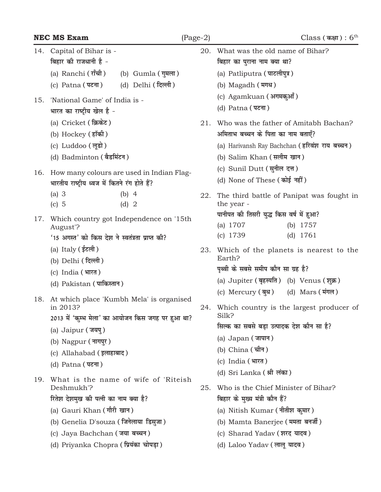|     | <b>NEC MS Exam</b>                                                                                                                                                                                                                          | $(Page-2)$                              |     | $\text{Class}$ ( कक्षा ) : $6^{\text{th}}$                                                                                                                                                                                      |
|-----|---------------------------------------------------------------------------------------------------------------------------------------------------------------------------------------------------------------------------------------------|-----------------------------------------|-----|---------------------------------------------------------------------------------------------------------------------------------------------------------------------------------------------------------------------------------|
| 14. | Capital of Bihar is -<br>बिहार की राजधानी है -                                                                                                                                                                                              |                                         | 20. | What was the old name of Bihar?<br>बिहार का पुराना नाम क्या था?                                                                                                                                                                 |
|     | (a) Ranchi (राँची)<br>(c) Patna (पटना)                                                                                                                                                                                                      | (b) Gumla (गुमला)<br>(d) Delhi (दिल्ली) |     | (a) Patliputra (पाटलीपुत्र)<br>(b) Magadh (मगध)                                                                                                                                                                                 |
| 15. | 'National Game' of India is -<br>भारत का राष्ट्रीय खेल है -<br>(a) Cricket (क्रिकेट)                                                                                                                                                        |                                         | 21. | (c) Agamkuan (अगमकुआँ)<br>(d) Patna (पटना)<br>Who was the father of Amitabh Bachan?                                                                                                                                             |
|     | (b) Hockey (हॉकी)<br>(c) Luddoo (लूडो)<br>(d) Badminton (बैडमिंटन)                                                                                                                                                                          |                                         |     | अमिताभ बच्चन के पिता का नाम बताएँ?<br>(a) Harivansh Ray Bachchan (हरिवंश राय बच्चन)<br>(b) Salim Khan (सलीम खान)                                                                                                                |
| 16. | How many colours are used in Indian Flag-<br>भारतीय राष्ट्रीय ध्वज में कितने रंग होते हैं?                                                                                                                                                  |                                         |     | (c) Sunil Dutt (सुनील दत्त)<br>(d) None of These (कोई नहीं)                                                                                                                                                                     |
| 17. | (a) $3$<br>$(b)$ 4<br>$(c)$ 5<br>$(d)$ 2<br>Which country got Independence on '15th                                                                                                                                                         |                                         | 22. | The third battle of Panipat was fought in<br>the year -<br>पानीपत की तिसरी युद्ध किस वर्ष में हुआ?                                                                                                                              |
|     | August'?<br>'15 अगस्त' को किस देश ने स्वतंत्रता प्राप्त की?<br>(a) Italy (ईटली)<br>(b) Delhi (दिल्ली)<br>(c) India (भारत)<br>(d) Pakistan (पाकिस्तान)                                                                                       |                                         | 23. | (a) $1707$<br>(b) $1757$<br>$(c)$ 1739<br>(d) $1761$<br>Which of the planets is nearest to the<br>Earth?<br>पृथ्वी के सबसे समीप कौन सा ग्रह है?<br>(a) Jupiter (बृहस्पति) (b) Venus (शुक्र)                                     |
|     | 18. At which place 'Kumbh Mela' is organised<br>in 2013?<br>2013 में 'कुम्भ मेला' का आयोजन किस जगह पर हुआ था?<br>(a) Jaipur (जयपु)<br>(b) Nagpur (नागपुर)<br>(c) Allahabad (इलाहाबाद)<br>(d) Patna (पटना)                                   |                                         |     | (c) Mercury (बुध) (d) Mars (मंगल)<br>Which country is the largest producer of<br>Silk?<br>सिल्क का सबसे बड़ा उत्पादक देश कौन सा है?<br>(a) $Japan ( जापान)$<br>(b) China (चीन)<br>(c) India (भारत)<br>(d) Sri Lanka (श्री लंका) |
| 19. | What is the name of wife of 'Riteish<br>Deshmukh'?<br>रितेश देशमुख की पत्नी का नाम क्या है?<br>(a) Gauri Khan (गौरी खान)<br>(b) Genelia D'souza (जिनेलाया डिसुजा)<br>(c) Jaya Bachchan (जया बच्चन)<br>(d) Priyanka Chopra (प्रियंका चोपड़ा) |                                         | 25. | Who is the Chief Minister of Bihar?<br>बिहार के मुख्य मंत्री कौन हैं?<br>(a) Nitish Kumar (नीतीश कुमार)<br>(b) Mamta Banerjee (ममता बनर्जी)<br>(c) Sharad Yadav (शरद यादव)<br>(d) Laloo Yadav (लालू यादव)                       |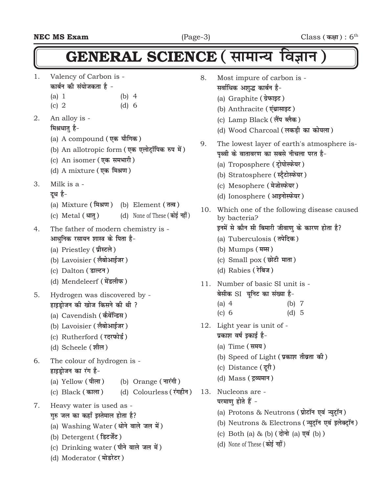### $GENERAL$  SCIENCE (सामान्य विज्ञान)

- 1. Valency of Carbon is <u>कार्बन की संयोजकता है</u> -
	- (a) 1 (b) 4
	- (c) 2 (d) 6
- 2. An alloy is -

#### **मिश्रधातु** है-

- (a) A compound (एक यौगिक)
- (b) An allotropic form (एक एलोट्रॉपिक रुप में)
- (c) An isomer (एक समभारी)
- (d) A mixture (एक मिश्रण)
- 3. Milk is a
	- द**ध** है-
	- (a) Mixture **(feJ.k)** (b) Element **(rRo)**
	- (c) Metal (धातु) (d) None of These (कोई नहीं)
- 4. The father of modern chemistry is आधुनिक रसायन शास्त्र के पिता **है**-
	- (a) Priestley (प्रीस्टले)
	- (b) Lavoisier (लैबोआईजर)
	- (c) Dalton (डाल्टन)
	- (d) Mendeleerf (मेंडलीफ)
- 5. Hydrogen was discovered by हाइडोजन की खोज किसने की थी ?
	- (a) Cavendish (कैवेंन्डिस)
	- (b) Lavoisier (लैबोआईजर)
	- (c) Rutherford (रदरफोर्ड)
	- (d) Scheele (शील)
- 6. The colour of hydrogen is हाइडोजन का रंग **है**-
	- (a) Yellow (पीला) (b) Orange (नारंगी)
	- (c) Black **(dkyk)** (d) Colourless **(jaxghu)**
- 7. Heavy water is used as
	- **गरु जल का कहाँ इस्तेमाल होता है?**
	- (a) Washing Water (धोने वाले जल में)
	- **(b) Detergent ( डिटर्जेंट )**
	- (c) Drinking water (पीने वाले जल में)
	- (d) Moderator (मोडरेटर)
- 8. Most impure of carbon is **सर्वाधिक अशुद्ध कार्बन है-**(a) Graphite (ग्रेफाइट) (b) Anthracite (एंथ्रासाइट) (c) Lamp Black (लैंप ब्लैक) (d) Wood Charcoal (लकड़ी का कोयला) 9. The lowest layer of earth's atmosphere is-पथ्वी के वातावरण का सबसे नीचला परत है-(a) Troposphere (टोपोस्फेयर) (b) Stratosphere (स्टैटोस्फेयर) (c) Mesophere (मेजोस्फेयर) (d) Ionosphere (आइनोस्फेयर) 10. Which one of the following disease caused by bacteria? इनमें से कौन सी बिमारी जीवाणु के कारण **होता है**? (a) Tuberculosis (तपेदिक) (b) Mumps ( **मम्स**) (c) Small pox (छोटी माता) (d) Rabies (रेबिज) 11. Number of basic SI unit is - <u>बे</u>सीक SI युनिट का संख्या है-(a) 4 (b) 7 (c) 6 (d) 5 12. Light year is unit of - प्रकाश वर्ष डकाई है-(a) Time (समय) (b) Speed of Light (**प्रकाश तीव्रता की**) (c) Distance (दूरी) **(d) Mass (द्रव्यमान)** 13. Nucleons are - परमाण होते हैं -(a) Protons & Neutrons (प्रोटॉन एवं न्युट्रॉन) (b) Neutrons & Electrons ( **न्युट्रॉन एवं इलेक्ट्रॉन** ) (c) Both (a) & (b) (दोनो (a) एवं (b))
	- (d) None of These (कोई नहीं)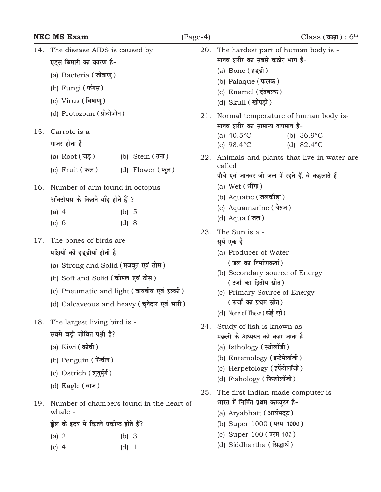|     | <b>NEC MS Exam</b>                                                                                                                      |                                                                                           | $(Page-4)$ | $\text{Class } ( \text{ } \text{{\texttt{M}}\text{{\texttt{N}}}} ) : 6^\text{th}$                                                                                                                                      |
|-----|-----------------------------------------------------------------------------------------------------------------------------------------|-------------------------------------------------------------------------------------------|------------|------------------------------------------------------------------------------------------------------------------------------------------------------------------------------------------------------------------------|
| 14. | The disease AIDS is caused by<br>एड्स बिमारी का कारण है-<br>(a) Bacteria (जीवाण्)<br>(b) Fungi $(\overline{\text{wind}})$               |                                                                                           | 20.        | The hardest part of human body is -<br>मानव शरीर का सबसे कठोर भाग है-<br>(a) Bone (हड्डी)<br>(b) Palaque (फलक)<br>(c) Enamel (दंतवल्क)                                                                                 |
|     | (c) Virus (विषाणु)                                                                                                                      |                                                                                           |            | (d) Skull (खोपड़ी)                                                                                                                                                                                                     |
| 15. | (d) Protozoan (प्रोटोजोन)<br>Carrote is a<br>गाजर होता है -                                                                             |                                                                                           | 21.        | Normal temperature of human body is-<br>मानव शरीर का सामान्य तापमान है-<br>(a) $40.5^{\circ}$ C<br>(b) $36.9^{\circ}$ C<br>(c) $98.4^{\circ}$ C<br>(d) $82.4^{\circ}$ C                                                |
|     | (a) Root $(\bar{\mathcal{A}}, \bar{\mathcal{B}})$<br>(c) Fruit $(\pi \pi)$                                                              | (b) Stem $(\overline{d}$ ना)<br>(d) Flower (फ़ूल)                                         | 22.        | Animals and plants that live in water are.<br>called<br>पौधे एवं जानवर जो जल में रहते हैं. वे कहलाते हैं-                                                                                                              |
| 16. | Number of arm found in octopus -<br>ऑक्टोपस के कितने बाँह होते हैं ?<br>(a) $4$<br>(c) 6                                                | (b) 5<br>$(d)$ 8                                                                          |            | (a) $Wet$ (भींगा)<br>(b) Aquatic (जलकीड़ा)<br>(c) Aquamarine (बेरुज)<br>(d) Aqua $(\bar{\mathbf{w}})$                                                                                                                  |
| 17. | The bones of birds are -<br>पक्षियों की हड्डीयाँ होती है -<br>(a) Strong and Solid (मजबूत एवं ठोस)<br>(b) Soft and Solid (कोमल एवं ठोस) | (c) Pneumatic and light (वायवीय एवं हल्की)<br>(d) Calcaveous and heavy (चूनेदार एवं भारी) | 23.        | The Sun is a -<br>सूर्य एक है -<br>(a) Producer of Water<br>(जल का निर्माणकर्ता)<br>(b) Secondary source of Energy<br>(उर्जा का द्वितीय स्रोत)<br>(c) Primary Source of Energy<br>(ऊर्जा का प्रथम स्रोत)               |
| 18. | The largest living bird is -<br>सबसे बड़ी जीवित पक्षी है?<br>(a) Kiwi (कीवी)<br>(b) Penguin (पेंग्वीन)<br>(c) Ostrich (शतर्मुर्ग)       |                                                                                           | 24.        | (d) None of These (कोई नहीं)<br>Study of fish is known as -<br>मछली के अध्ययन को कहा जाता है-<br>(a) Isthology (स्थोलॉजी)<br>(b) Entemology (इन्टेमेलॉजी)<br>(c) Herpetology (हर्पेटोलॉजी)<br>(d) Fishology (फिशोलॉजी) |
| 19. | (d) Eagle (बाज)<br>whale -<br>ह्वेल के हृदय में कितने प्रकोष्ठ होते हैं?<br>(a) $2$<br>$(c)$ 4                                          | Number of chambers found in the heart of<br>$(b)$ 3<br>$(d)$ 1                            | 25.        | The first Indian made computer is -<br>भारत में निर्मित प्रथम कम्प्यूटर है-<br>(a) Aryabhatt (आर्यभट्ट)<br>(b) Super 1000 (परम 1000)<br>(c) Super 100 (परम 100)<br>(d) Siddhartha (सिद्धार्थ)                          |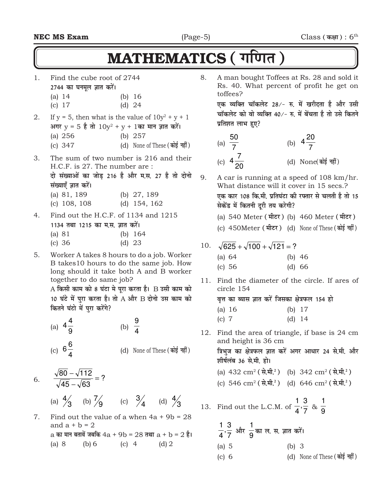### MATHEMATICS ( गणित)

- 1. Find the cube root of 2744 **2744 का घनमूल ज्ञात करें।** 
	- (a) 14 (b) 16
	- (c) 17 (d) 24
- 2. If  $y = 5$ , then what is the value of  $10y^2 + y + 1$ अगर y = 5 है तो  $10$ y<sup>2</sup> + y + 1का मान ज्ञात करें। (a) 256 (b) 257 (c) 347 (d) None of These (कोई नहीं)
- 3. The sum of two number is 216 and their H.C.F. is 27. The number are : दो संख्याओं का जोड 216 है और म.स. 27 है तो दोनो
	- **laight with the sum**
	- (a) 81, 189 (b) 27, 189
	- (c) 108, 108 (d) 154, 162
- 4. Find out the H.C.F. of 1134 and 1215 1134 तथा 1215 का म.स. ज्ञात करें। (a) 81 (b) 164
	- (c) 36 (d) 23
- 5. Worker A takes 8 hours to do a job. Worker B takes10 hours to do the same job. How long should it take both A and B worker together to do same job?

A किसी काम को 8 घंटा मे पूरा करता है। **B उसी काम** को 10 घंटे में पुरा करता है। तो A और B दोनो उस काम को **कितने घंटो में प्**रा करेंगे?

- (a)  $4\frac{1}{9}$ 4  $4\frac{4}{9}$  (b)  $\frac{9}{4}$ (c)  $6\frac{1}{4}$ 6 (d) None of These (कोई नहीं)
- 6.  $\frac{\sqrt{66} \sqrt{63}}{\sqrt{45} \sqrt{63}} = ?$  $\frac{80 - \sqrt{112}}{2} =$ − − (a)  $\frac{4}{3}$  (b)  $\frac{7}{9}$  (c)  $\frac{3}{4}$  (d)  $\frac{4}{3}$

7. Find out the value of a when  $4a + 9b = 28$ and  $a + b = 2$ a **dk eku crkosa tcfd** 4a + 9b = 28 **rFkk** a + b = 2 **gSA** (a) 8 (b) 6 (c) 4 (d) 2

8. A man bought Toffees at Rs. 28 and sold it Rs. 40. What percent of profit he get on toffees?

एक व्यक्ति चॉकलेट 28⁄- रु. में खरीदता है और **उसी** <u>चॉकलेट को वो व्यक्ति 40/- रु. में बेंचता है तो उसे कितने</u> **प्रतिशत लाभ हुए?** 

(a) 
$$
\frac{50}{7}
$$
 (b)  $4\frac{20}{7}$   
(c)  $4\frac{7}{20}$  (d) None(3)

- 9. A car is running at a speed of 108 km/hr. What distance will it cover in 15 secs.? एक कार 108 कि.मी. प्रतिघंटा की रफ्तार से चलती है तो 15 **सेकेंड में कितनी दुरी तय करेगी?** 
	- (a) 540 Meter (मीटर) (b) 460 Meter (मीटर)
	- (c) 450Meter (मीटर) (d) None of These (कोई नहीं)
- 10.  $\sqrt{625} + \sqrt{100} + \sqrt{121} = ?$ 
	- (a) 64 (b) 46 (c) 56 (d) 66
- 11. Find the diameter of the circle. If ares of circle 154

वत्त का ब्यास ज्ञात करें जिसका क्षेत्रफल 154 **हो** (a) 16 (b) 17 (c) 7 (d) 14

12. Find the area of triangle, if base is 24 cm and height is 36 cm **त्रिभुज का क्षेत्रफल ज्ञात करें अगर आधार 24 से.मी. और** 

शीर्षलंब 36 से.मी. **हो।** 

- $(a)$  432 cm<sup>2</sup> ( $\vec{\bf r}$ ,  $\hat{\bf r}$ ) (b) 342 cm<sup>2</sup> ( $\vec{\bf r}$ ,  $\hat{\bf r}$ )  $\text{(c)}$  546 cm<sup>2</sup> ( $\vec{\textbf{R}}$ , $\vec{\textbf{H}}$ , $\textbf{R}$ ) (d) 646 cm<sup>2</sup> ( $\vec{\textbf{R}}$ , $\vec{\textbf{H}}$ , $\textbf{R}$ <sup>2</sup>)
- 13. Find out the L.C.M. of  $\frac{1}{4}$ ,  $\frac{1}{7}$  $\frac{3}{2}$ 4 1  $\frac{a}{9}$ 1

$$
\frac{1}{4}, \frac{3}{7} \text{ and } \frac{1}{9} \text{ and } \text{ or, } \text{ at, and } \text{ and } \text{ at } 1
$$
\n(a) 5 (b) 3

(c) 6 (d) None of These (कोई नहीं)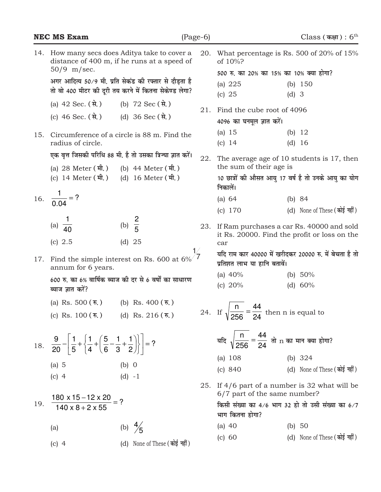|     | <b>NEC MS Exam</b>                                                                                                                          |                                                             | $(Page-6)$ |                                                                                                | Class (कक्षा) : $6th$                               |  |
|-----|---------------------------------------------------------------------------------------------------------------------------------------------|-------------------------------------------------------------|------------|------------------------------------------------------------------------------------------------|-----------------------------------------------------|--|
|     | 14. How many secs does Aditya take to cover a<br>distance of 400 m, if he runs at a speed of<br>$50/9$ m/sec.                               |                                                             | 20.        | What percentage is Rs. 500 of 20% of 15%<br>of 10%?<br>500 रु. का 20% का 15% का 10% क्या होगा? |                                                     |  |
|     | अगर आदित्य 50/9 मी. प्रति सेकंड की रफ्तार से दौड़ता है<br>तो वो 400 मीटर की दूरी तय करने में कितना सेकेण्ड लेगा?                            |                                                             |            | (a) $225$<br>$(c)$ 25                                                                          | (b) $150$<br>$(d)$ 3                                |  |
|     | (a) $42$ Sec. (से.)                                                                                                                         | (b) 72 Sec (से.)                                            |            |                                                                                                |                                                     |  |
|     | (c) 46 Sec. $(\vec{a})$ (d) 36 Sec $(\vec{a})$                                                                                              |                                                             | 21.        | Find the cube root of 4096<br>4096 का घनमूल ज्ञात करें।                                        |                                                     |  |
| 15. | radius of circle.                                                                                                                           | Circumference of a circle is 88 m. Find the                 |            | (a) $15$<br>(c) 14                                                                             | (b) $12$<br>(d) 16                                  |  |
|     |                                                                                                                                             | एक वृत्त जिसकी परिधि 88 मी. है तो उसका त्रिज्या ज्ञात करें। | 22.        | The average age of 10 students is 17, then                                                     |                                                     |  |
|     | (a) 28 Meter (मी.)                                                                                                                          | (b) 44 Meter (मी.)                                          |            | the sum of their age is                                                                        |                                                     |  |
|     | (c) 14 Meter (मी.) (d) 16 Meter (मी.)                                                                                                       |                                                             |            | निकालें।                                                                                       | 10 छात्रों की औसत आयु 17 वर्ष है तो उनके आयु का योग |  |
|     | 16. $\frac{1}{0.04}$ = ?                                                                                                                    |                                                             |            | (a) 64                                                                                         | (b) $84$                                            |  |
|     |                                                                                                                                             |                                                             |            | (c) 170                                                                                        | (d) None of These (कोई नहीं)                        |  |
|     | (a) $\frac{1}{40}$                                                                                                                          | (b) $\frac{2}{5}$                                           | 23.        | If Ram purchases a car Rs. 40000 and sold<br>it Rs. 20000. Find the profit or loss on the      |                                                     |  |
|     | (c) 2.5                                                                                                                                     | (d) 25                                                      |            | car                                                                                            |                                                     |  |
| 17. | Find the simple interest on Rs. 600 at $6\%$ 7<br>annum for 6 years<br>annum for 6 years.                                                   |                                                             |            | यदि राम कार 40000 में खरीदकर 20000 रु. में बेचता है तो<br>प्रतिशत लाभ या हानि बतावें।          |                                                     |  |
|     |                                                                                                                                             |                                                             |            | (a) $40%$                                                                                      | (b) $50\%$                                          |  |
|     | 600 रु. का 6% वार्षिक ब्याज की दर से 6 वर्षों का साधारण<br>ब्याज ज्ञात करें?                                                                |                                                             |            | (c) $20%$                                                                                      | (d) $60\%$                                          |  |
|     | (a) Rs. 500 $(\bar{x},)$ (b) Rs. 400 $(\bar{x},)$                                                                                           |                                                             |            |                                                                                                |                                                     |  |
|     | (c) Rs. $100(\overline{\mathfrak{n}})$                                                                                                      | (d) Rs. 216 ( $\bar{\mathbf{v}}$ .)                         |            | 24. If $\sqrt{\frac{n}{256}} = \frac{44}{24}$ then n is equal to                               |                                                     |  |
|     | 18. $\frac{9}{20} - \left  \frac{1}{5} + \left\{ \frac{1}{4} + \left( \frac{5}{6} - \frac{1}{3} + \frac{1}{2} \right) \right\} \right  = ?$ |                                                             |            | यदि $\sqrt{\frac{n}{256}} = \frac{44}{24}$ तो $n$ का मान क्या होगा?                            |                                                     |  |
|     |                                                                                                                                             |                                                             |            | (a) 108                                                                                        | (b) $324$                                           |  |
|     | (a) $5$<br>$(c)$ 4                                                                                                                          | (b) 0                                                       |            | (c) 840                                                                                        | (d) None of These (कोई नहीं)                        |  |
|     |                                                                                                                                             | $(d) -1$                                                    | 25.        | If $4/6$ part of a number is 32 what will be<br>6/7 part of the same number?                   |                                                     |  |
| 19. | $\frac{180 \times 15 - 12 \times 20}{140 \times 8 + 2 \times 55} = ?$                                                                       |                                                             |            | भाग कितना होगा?                                                                                | किसी संख्या का 4/6 भाग 32 हो तो उसी संख्या का 6/7   |  |
|     | (a)                                                                                                                                         | (b) $\frac{4}{5}$                                           |            | (a) $40$                                                                                       | (b) $50$                                            |  |
|     | $(c)$ 4                                                                                                                                     | (d) None of These (कोई नहीं)                                |            | (c) 60                                                                                         | (d) None of These (कोई नहीं)                        |  |
|     |                                                                                                                                             |                                                             |            |                                                                                                |                                                     |  |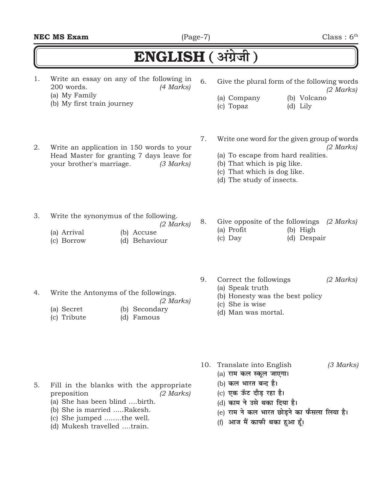| <b>NEC MS Exam</b> | $(Page-7)$ | Class: 6 <sup>th</sup> |
|--------------------|------------|------------------------|

## $ENGLISH$  (अंग्रेजी)

1. Write an essay on any of the following in 200 words. *(4 Marks)* (a) My Family

- (b) My first train journey
- 2. Write an application in 150 words to your Head Master for granting 7 days leave for your brother's marriage. *(3 Marks)*
- 6. Give the plural form of the following words *(2 Marks)*
	- (a) Company (b) Volcano (c) Topaz (d) Lily
		-
- 7. Write one word for the given group of words *(2 Marks)*

8. Give opposite of the followings *(2 Marks)*

- (a) To escape from hard realities.
- (b) That which is pig like.
- (c) That which is dog like.
- (d) The study of insects.
- 3. Write the synonymus of the following.
	- *(2 Marks)*
	- (a) Arrival (b) Accuse (c) Borrow (d) Behaviour
		-

4. Write the Antonyms of the followings.

(a) Secret (b) Secondary (c) Tribute (d) Famous

9. Correct the followings *(2 Marks)*

(a) Profit (b) High (c) Day (d) Despair

- (a) Speak truth
- (b) Honesty was the best policy
- (c) She is wise
- (d) Man was mortal.
- 10. Translate into English *(3 Marks)*
	- (a) राम कल स्कूल जाएगा।
	- (b) कल भारत बन्द है।
	- (c) एक ऊँट दौड़ रहा **है।**
	- (d) काम ने उसे थका दिया है।
	- (e) राम ने कल भारत छोड़ने का फैसला लिया है।
	- (f) आज मैं काफी थका हुआ हूँ।
- 5. Fill in the blanks with the appropriate preposition *(2 Marks)*
	- (a) She has been blind ....birth.
	- (b) She is married .....Rakesh.
	- (c) She jumped ........the well.
	- (d) Mukesh travelled ....train.
- - -
		-
		-
- 

*(2 Marks)*